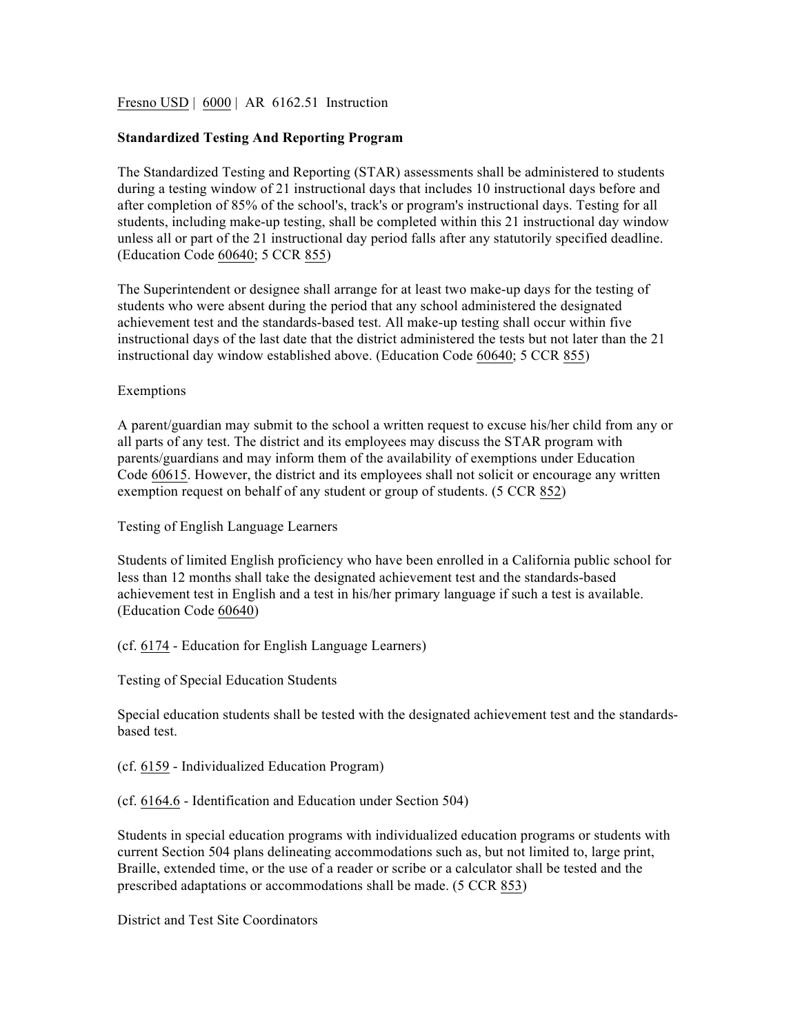Fresno USD | 6000 | AR 6162.51 Instruction

## **Standardized Testing And Reporting Program**

The Standardized Testing and Reporting (STAR) assessments shall be administered to students during a testing window of 21 instructional days that includes 10 instructional days before and after completion of 85% of the school's, track's or program's instructional days. Testing for all students, including make-up testing, shall be completed within this 21 instructional day window unless all or part of the 21 instructional day period falls after any statutorily specified deadline. (Education Code 60640; 5 CCR 855)

The Superintendent or designee shall arrange for at least two make-up days for the testing of students who were absent during the period that any school administered the designated achievement test and the standards-based test. All make-up testing shall occur within five instructional days of the last date that the district administered the tests but not later than the 21 instructional day window established above. (Education Code 60640; 5 CCR 855)

## Exemptions

A parent/guardian may submit to the school a written request to excuse his/her child from any or all parts of any test. The district and its employees may discuss the STAR program with parents/guardians and may inform them of the availability of exemptions under Education Code 60615. However, the district and its employees shall not solicit or encourage any written exemption request on behalf of any student or group of students. (5 CCR 852)

Testing of English Language Learners

Students of limited English proficiency who have been enrolled in a California public school for less than 12 months shall take the designated achievement test and the standards-based achievement test in English and a test in his/her primary language if such a test is available. (Education Code 60640)

(cf. 6174 - Education for English Language Learners)

Testing of Special Education Students

Special education students shall be tested with the designated achievement test and the standardsbased test.

(cf. 6159 - Individualized Education Program)

(cf. 6164.6 - Identification and Education under Section 504)

Students in special education programs with individualized education programs or students with current Section 504 plans delineating accommodations such as, but not limited to, large print, Braille, extended time, or the use of a reader or scribe or a calculator shall be tested and the prescribed adaptations or accommodations shall be made. (5 CCR 853)

District and Test Site Coordinators